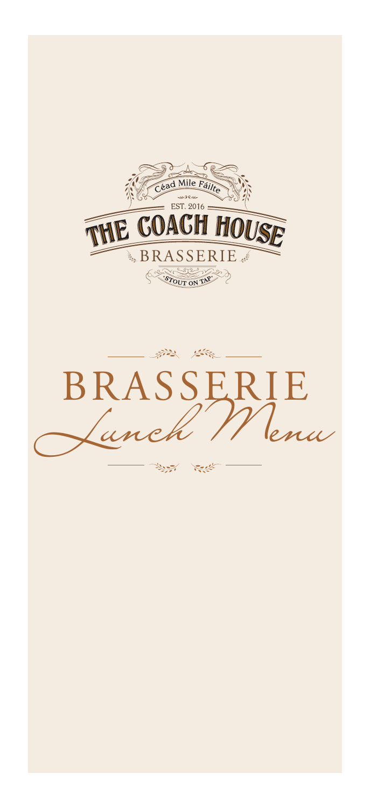

第2 答 BRASSERIE *Lunch Menu*  $\sum_{i=1}^n\frac{d_i^2}{d_i^2}$ أجودية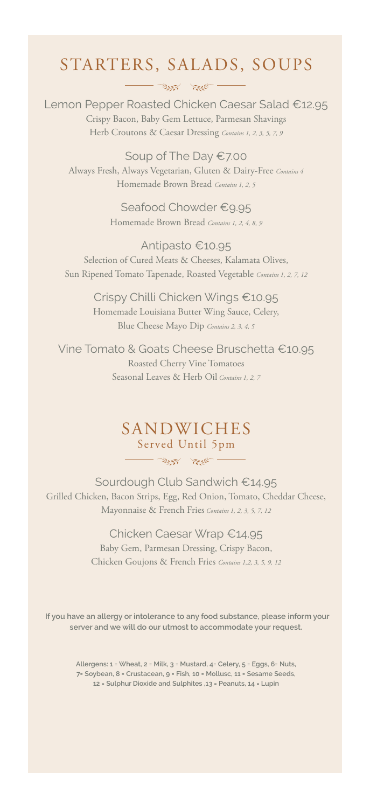### STARTERS, SALADS, SOUPS  $-\frac{1}{\sqrt{2}}\sum_{i=1}^n\frac{1}{\sqrt{2}}\sum_{j=1}^n\frac{1}{\sqrt{2}}\sum_{j=1}^n\frac{1}{\sqrt{2}}\sum_{j=1}^n\frac{1}{\sqrt{2}}\sum_{j=1}^n\frac{1}{\sqrt{2}}\sum_{j=1}^n\frac{1}{\sqrt{2}}\sum_{j=1}^n\frac{1}{\sqrt{2}}\sum_{j=1}^n\frac{1}{\sqrt{2}}\sum_{j=1}^n\frac{1}{\sqrt{2}}\sum_{j=1}^n\frac{1}{\sqrt{2}}\sum_{j=1}^n\frac{1}{\sqrt{2}}\$

Lemon Pepper Roasted Chicken Caesar Salad €12.95 Crispy Bacon, Baby Gem Lettuce, Parmesan Shavings Herb Croutons & Caesar Dressing *Contains 1, 2, 3, 5, 7, 9*

Soup of The Day €7.00 Always Fresh, Always Vegetarian, Gluten & Dairy-Free *Contains 4* Homemade Brown Bread *Contains 1, 2, 5*

> Seafood Chowder €9.95 Homemade Brown Bread *Contains 1, 2, 4, 8, 9*

Antipasto €10.95 Selection of Cured Meats & Cheeses, Kalamata Olives, Sun Ripened Tomato Tapenade, Roasted Vegetable *Contains 1, 2, 7, 12*

> Crispy Chilli Chicken Wings €10.95 Homemade Louisiana Butter Wing Sauce, Celery, Blue Cheese Mayo Dip *Contains 2, 3, 4, 5*

Vine Tomato & Goats Cheese Bruschetta €10.95 Roasted Cherry Vine Tomatoes Seasonal Leaves & Herb Oil *Contains 1, 2, 7*

#### SANDWICHES Served Until 5pm

 $\frac{1}{\sqrt{2\pi}}$ 

Sourdough Club Sandwich €14.95 Grilled Chicken, Bacon Strips, Egg, Red Onion, Tomato, Cheddar Cheese, Mayonnaise & French Fries *Contains 1, 2, 3, 5, 7, 12*

#### Chicken Caesar Wrap €14.95

Baby Gem, Parmesan Dressing, Crispy Bacon, Chicken Goujons & French Fries *Contains 1,2, 3, 5, 9, 12*

**If you have an allergy or intolerance to any food substance, please inform your server and we will do our utmost to accommodate your request.**

> **Allergens: 1 = Wheat, 2 = Milk, 3 = Mustard, 4= Celery, 5 = Eggs, 6= Nuts, 7= Soybean, 8 = Crustacean, 9 = Fish, 10 = Mollusc, 11 = Sesame Seeds, 12 = Sulphur Dioxide and Sulphites ,13 = Peanuts, 14 = Lupin**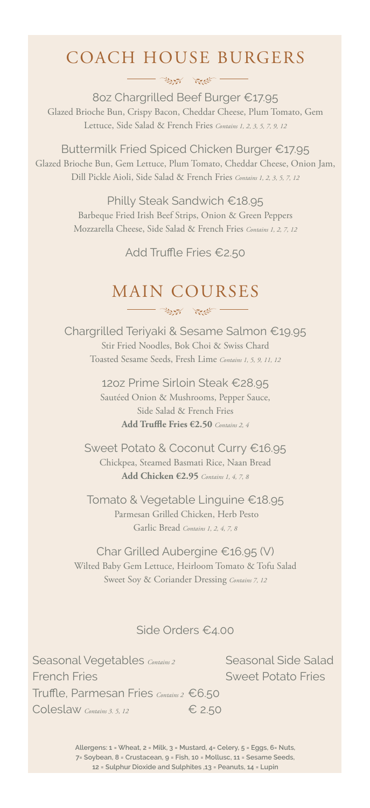## COACH HOUSE BURGERS

 $\frac{1}{\sqrt{2\pi}}\sum_{n=1}^{\infty}\frac{1}{n^2} \sum_{n=1}^{\infty}\frac{1}{n^2} \sum_{n=1}^{\infty}\frac{1}{n^2} \sum_{n=1}^{\infty}\frac{1}{n^2} \sum_{n=1}^{\infty}\frac{1}{n^2} \sum_{n=1}^{\infty}\frac{1}{n^2} \sum_{n=1}^{\infty}\frac{1}{n^2} \sum_{n=1}^{\infty}\frac{1}{n^2} \sum_{n=1}^{\infty}\frac{1}{n^2} \sum_{n=1}^{\infty}\frac{1}{n^2} \sum_{n=1}^$ 

8oz Chargrilled Beef Burger €17.95 Glazed Brioche Bun, Crispy Bacon, Cheddar Cheese, Plum Tomato, Gem Lettuce, Side Salad & French Fries *Contains 1, 2, 3, 5, 7, 9, 12*

Buttermilk Fried Spiced Chicken Burger €17.95 Glazed Brioche Bun, Gem Lettuce, Plum Tomato, Cheddar Cheese, Onion Jam, Dill Pickle Aioli, Side Salad & French Fries *Contains 1, 2, 3, 5, 7, 12*

> Philly Steak Sandwich €18.95 Barbeque Fried Irish Beef Strips, Onion & Green Peppers Mozzarella Cheese, Side Salad & French Fries *Contains 1, 2, 7, 12*

> > Add Truffle Fries €2.50

#### MAIN COURSES  $\frac{1}{\sqrt{2\pi}}\int_{0}^{\infty}\frac{1}{\sqrt{2\pi}}\left( \frac{1}{\sqrt{2\pi}}\frac{1}{\sqrt{2\pi}}\right) \frac{dx}{\sqrt{2\pi}}dx$

Chargrilled Teriyaki & Sesame Salmon €19.95 Stir Fried Noodles, Bok Choi & Swiss Chard Toasted Sesame Seeds, Fresh Lime *Contains 1, 5, 9, 11, 12*

> 12oz Prime Sirloin Steak €28.95 Sautéed Onion & Mushrooms, Pepper Sauce, Side Salad & French Fries **Add Truffle Fries €2.50** *Contains 2, 4*

Sweet Potato & Coconut Curry €16.95 Chickpea, Steamed Basmati Rice, Naan Bread **Add Chicken €2.95** *Contains 1, 4, 7, 8*

Tomato & Vegetable Linguine €18.95 Parmesan Grilled Chicken, Herb Pesto Garlic Bread *Contains 1, 2, 4, 7, 8*

Char Grilled Aubergine €16.95 (V) Wilted Baby Gem Lettuce, Heirloom Tomato & Tofu Salad Sweet Soy & Coriander Dressing *Contains 7, 12*

#### Side Orders €4.00

Seasonal Vegetables *Contains 2* Seasonal Side Salad French Fries Sweet Potato Fries Truffle, Parmesan Fries *Contains 2* €6.50 Coleslaw *Contains 3. 5, 12* € 2.50

**Allergens: 1 = Wheat, 2 = Milk, 3 = Mustard, 4= Celery, 5 = Eggs, 6= Nuts, 7= Soybean, 8 = Crustacean, 9 = Fish, 10 = Mollusc, 11 = Sesame Seeds, 12 = Sulphur Dioxide and Sulphites ,13 = Peanuts, 14 = Lupin**